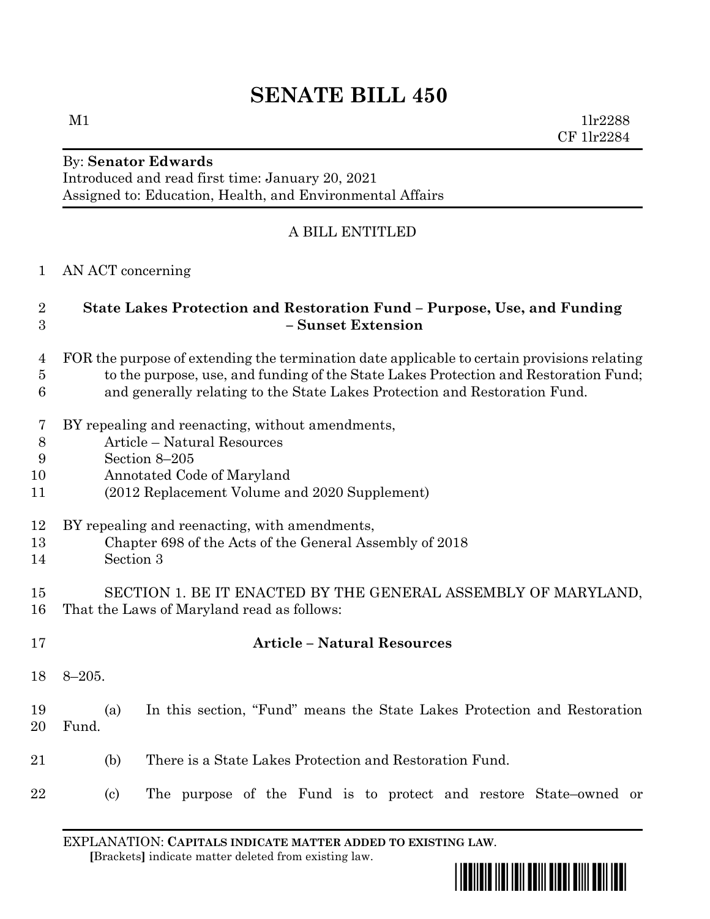# **SENATE BILL 450**

 $M1$   $11r2288$ CF 1lr2284

#### By: **Senator Edwards** Introduced and read first time: January 20, 2021 Assigned to: Education, Health, and Environmental Affairs

# A BILL ENTITLED

AN ACT concerning

# **State Lakes Protection and Restoration Fund – Purpose, Use, and Funding – Sunset Extension**

- FOR the purpose of extending the termination date applicable to certain provisions relating to the purpose, use, and funding of the State Lakes Protection and Restoration Fund;
- and generally relating to the State Lakes Protection and Restoration Fund.
- BY repealing and reenacting, without amendments,
- Article Natural Resources
- Section 8–205
- Annotated Code of Maryland
- (2012 Replacement Volume and 2020 Supplement)
- BY repealing and reenacting, with amendments,
- Chapter 698 of the Acts of the General Assembly of 2018
- Section 3

#### SECTION 1. BE IT ENACTED BY THE GENERAL ASSEMBLY OF MARYLAND, That the Laws of Maryland read as follows:

 **Article – Natural Resources** 8–205. (a) In this section, "Fund" means the State Lakes Protection and Restoration Fund. (b) There is a State Lakes Protection and Restoration Fund. (c) The purpose of the Fund is to protect and restore State–owned or

EXPLANATION: **CAPITALS INDICATE MATTER ADDED TO EXISTING LAW**.  **[**Brackets**]** indicate matter deleted from existing law.

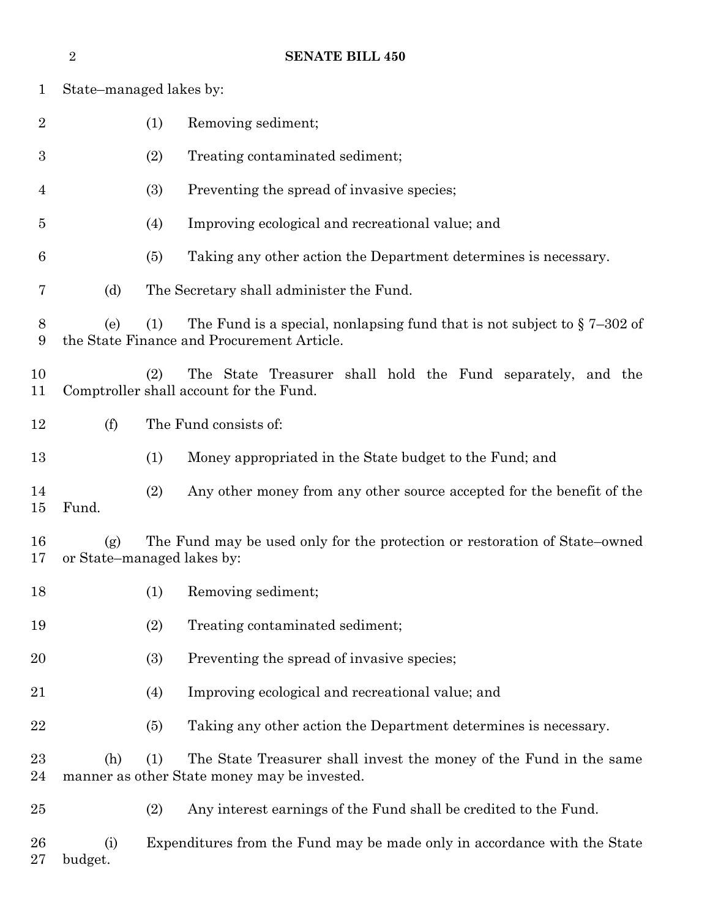|                | $\overline{2}$ | <b>SENATE BILL 450</b>                                                                                                           |
|----------------|----------------|----------------------------------------------------------------------------------------------------------------------------------|
| $\mathbf{1}$   |                | State-managed lakes by:                                                                                                          |
| $\overline{2}$ |                | (1)<br>Removing sediment;                                                                                                        |
| 3              |                | (2)<br>Treating contaminated sediment;                                                                                           |
| 4              |                | (3)<br>Preventing the spread of invasive species;                                                                                |
| $\overline{5}$ |                | Improving ecological and recreational value; and<br>(4)                                                                          |
| 6              |                | Taking any other action the Department determines is necessary.<br>(5)                                                           |
| 7              | (d)            | The Secretary shall administer the Fund.                                                                                         |
| 8<br>9         | (e)            | The Fund is a special, nonlapsing fund that is not subject to $\S 7-302$ of<br>(1)<br>the State Finance and Procurement Article. |
| 10<br>11       |                | The State Treasurer shall hold the Fund separately, and the<br>(2)<br>Comptroller shall account for the Fund.                    |
| 12             | (f)            | The Fund consists of:                                                                                                            |
| 13             |                | (1)<br>Money appropriated in the State budget to the Fund; and                                                                   |
| 14<br>15       | Fund.          | (2)<br>Any other money from any other source accepted for the benefit of the                                                     |
| 16<br>17       | (g)            | The Fund may be used only for the protection or restoration of State–owned<br>or State–managed lakes by:                         |
| 18             |                | (1)<br>Removing sediment;                                                                                                        |
| 19             |                | (2)<br>Treating contaminated sediment;                                                                                           |
| 20             |                | (3)<br>Preventing the spread of invasive species;                                                                                |
| 21             |                | Improving ecological and recreational value; and<br>(4)                                                                          |
| 22             |                | Taking any other action the Department determines is necessary.<br>(5)                                                           |
| $23\,$<br>24   | (h)            | The State Treasurer shall invest the money of the Fund in the same<br>(1)<br>manner as other State money may be invested.        |
| $25\,$         |                | Any interest earnings of the Fund shall be credited to the Fund.<br>(2)                                                          |
| 26<br>$27\,$   | (i)<br>budget. | Expenditures from the Fund may be made only in accordance with the State                                                         |